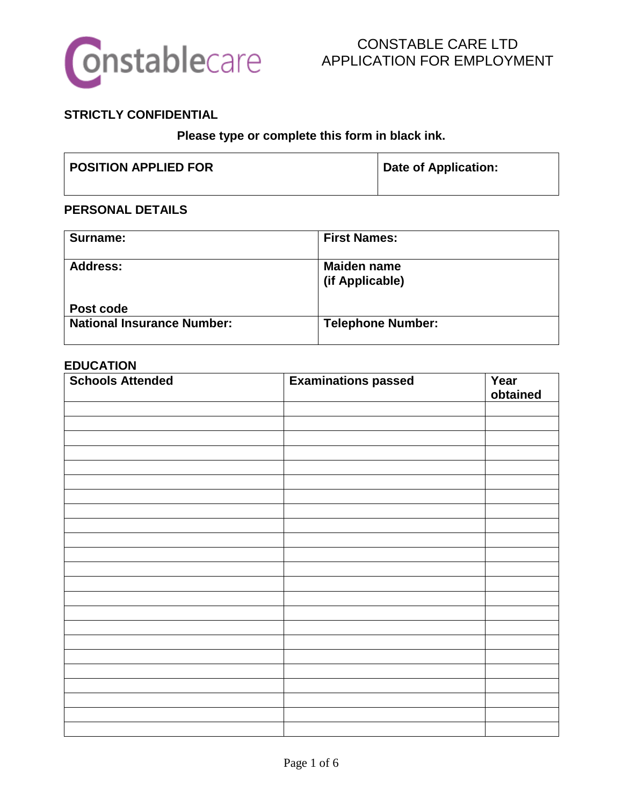

## **STRICTLY CONFIDENTIAL**

**Please type or complete this form in black ink.**

| <b>POSITION APPLIED FOR</b> | <b>Date of Application:</b> |
|-----------------------------|-----------------------------|
|                             |                             |

#### **PERSONAL DETAILS**

| Surname:                          | <b>First Names:</b>                   |
|-----------------------------------|---------------------------------------|
| <b>Address:</b>                   | <b>Maiden name</b><br>(if Applicable) |
| Post code                         |                                       |
| <b>National Insurance Number:</b> | <b>Telephone Number:</b>              |

#### **EDUCATION**

| <b>Schools Attended</b> | <b>Examinations passed</b> | Year     |
|-------------------------|----------------------------|----------|
|                         |                            | obtained |
|                         |                            |          |
|                         |                            |          |
|                         |                            |          |
|                         |                            |          |
|                         |                            |          |
|                         |                            |          |
|                         |                            |          |
|                         |                            |          |
|                         |                            |          |
|                         |                            |          |
|                         |                            |          |
|                         |                            |          |
|                         |                            |          |
|                         |                            |          |
|                         |                            |          |
|                         |                            |          |
|                         |                            |          |
|                         |                            |          |
|                         |                            |          |
|                         |                            |          |
|                         |                            |          |
|                         |                            |          |
|                         |                            |          |
|                         |                            |          |
|                         |                            |          |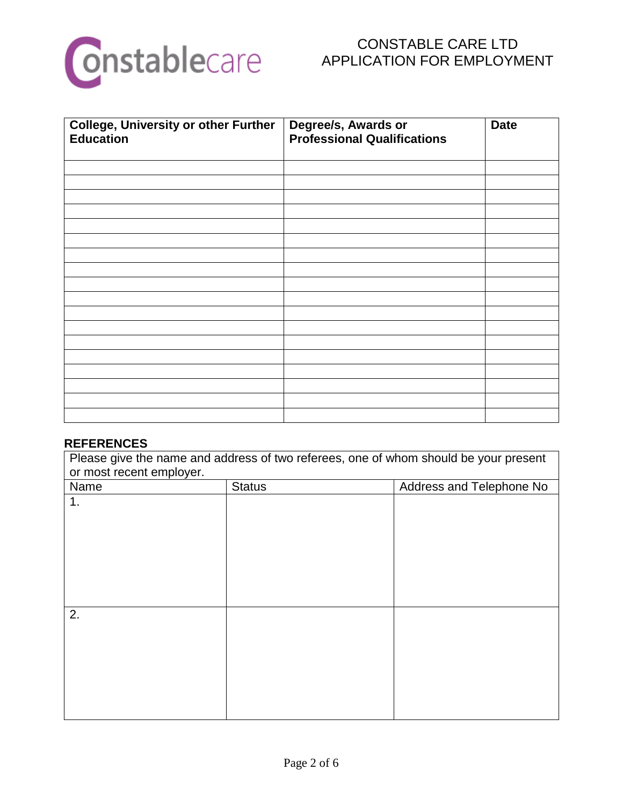

| <b>College, University or other Further</b><br><b>Education</b> | Degree/s, Awards or<br><b>Professional Qualifications</b> | <b>Date</b> |
|-----------------------------------------------------------------|-----------------------------------------------------------|-------------|
|                                                                 |                                                           |             |
|                                                                 |                                                           |             |
|                                                                 |                                                           |             |
|                                                                 |                                                           |             |
|                                                                 |                                                           |             |
|                                                                 |                                                           |             |
|                                                                 |                                                           |             |
|                                                                 |                                                           |             |
|                                                                 |                                                           |             |
|                                                                 |                                                           |             |
|                                                                 |                                                           |             |
|                                                                 |                                                           |             |
|                                                                 |                                                           |             |
|                                                                 |                                                           |             |
|                                                                 |                                                           |             |
|                                                                 |                                                           |             |
|                                                                 |                                                           |             |
|                                                                 |                                                           |             |

## **REFERENCES**

Please give the name and address of two referees, one of whom should be your present or most recent employer.

| Name | <b>Status</b> | Address and Telephone No |
|------|---------------|--------------------------|
| 1.   |               |                          |
|      |               |                          |
|      |               |                          |
|      |               |                          |
|      |               |                          |
|      |               |                          |
|      |               |                          |
| 2.   |               |                          |
|      |               |                          |
|      |               |                          |
|      |               |                          |
|      |               |                          |
|      |               |                          |
|      |               |                          |
|      |               |                          |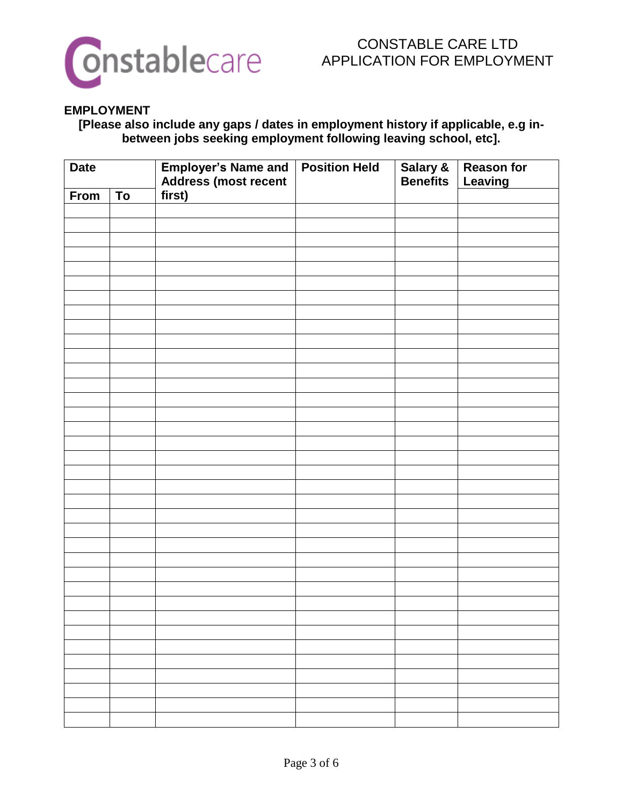

#### **EMPLOYMENT**

**[Please also include any gaps / dates in employment history if applicable, e.g inbetween jobs seeking employment following leaving school, etc].**

| <b>Date</b> |    | Employer's Name and<br>Address (most recent | <b>Position Held</b> | Salary &<br>Benefits | <b>Reason for</b><br>Leaving |
|-------------|----|---------------------------------------------|----------------------|----------------------|------------------------------|
| From        | To | first)                                      |                      |                      |                              |
|             |    |                                             |                      |                      |                              |
|             |    |                                             |                      |                      |                              |
|             |    |                                             |                      |                      |                              |
|             |    |                                             |                      |                      |                              |
|             |    |                                             |                      |                      |                              |
|             |    |                                             |                      |                      |                              |
|             |    |                                             |                      |                      |                              |
|             |    |                                             |                      |                      |                              |
|             |    |                                             |                      |                      |                              |
|             |    |                                             |                      |                      |                              |
|             |    |                                             |                      |                      |                              |
|             |    |                                             |                      |                      |                              |
|             |    |                                             |                      |                      |                              |
|             |    |                                             |                      |                      |                              |
|             |    |                                             |                      |                      |                              |
|             |    |                                             |                      |                      |                              |
|             |    |                                             |                      |                      |                              |
|             |    |                                             |                      |                      |                              |
|             |    |                                             |                      |                      |                              |
|             |    |                                             |                      |                      |                              |
|             |    |                                             |                      |                      |                              |
|             |    |                                             |                      |                      |                              |
|             |    |                                             |                      |                      |                              |
|             |    |                                             |                      |                      |                              |
|             |    |                                             |                      |                      |                              |
|             |    |                                             |                      |                      |                              |
|             |    |                                             |                      |                      |                              |
|             |    |                                             |                      |                      |                              |
|             |    |                                             |                      |                      |                              |
|             |    |                                             |                      |                      |                              |
|             |    |                                             |                      |                      |                              |
|             |    |                                             |                      |                      |                              |
|             |    |                                             |                      |                      |                              |
|             |    |                                             |                      |                      |                              |
|             |    |                                             |                      |                      |                              |
|             |    |                                             |                      |                      |                              |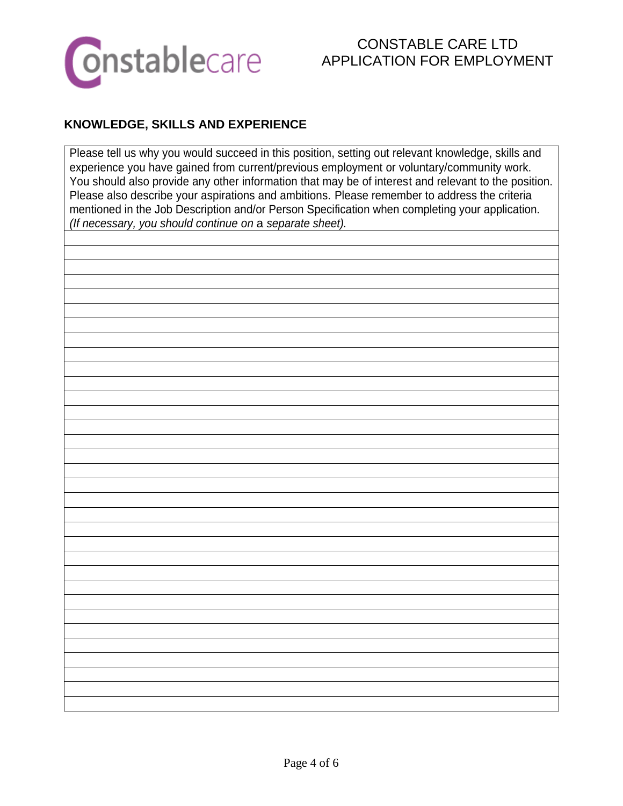

# **KNOWLEDGE, SKILLS AND EXPERIENCE**

Please tell us why you would succeed in this position, setting out relevant knowledge, skills and experience you have gained from current/previous employment or voluntary/community work. You should also provide any other information that may be of interest and relevant to the position. Please also describe your aspirations and ambitions. Please remember to address the criteria mentioned in the Job Description and/or Person Specification when completing your application. *(If necessary, you should continue on* a *separate sheet).*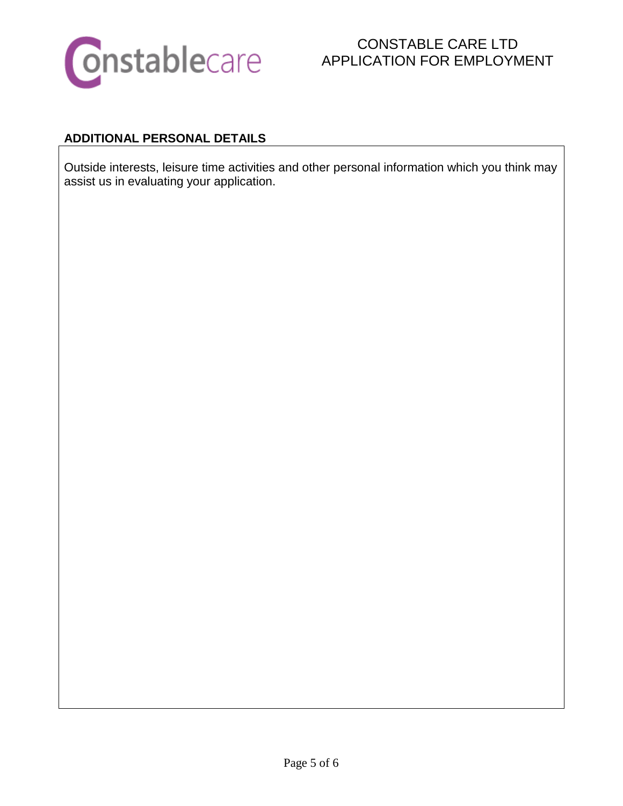

# CONSTABLE CARE LTD APPLICATION FOR EMPLOYMENT

## **ADDITIONAL PERSONAL DETAILS**

Outside interests, leisure time activities and other personal information which you think may assist us in evaluating your application.